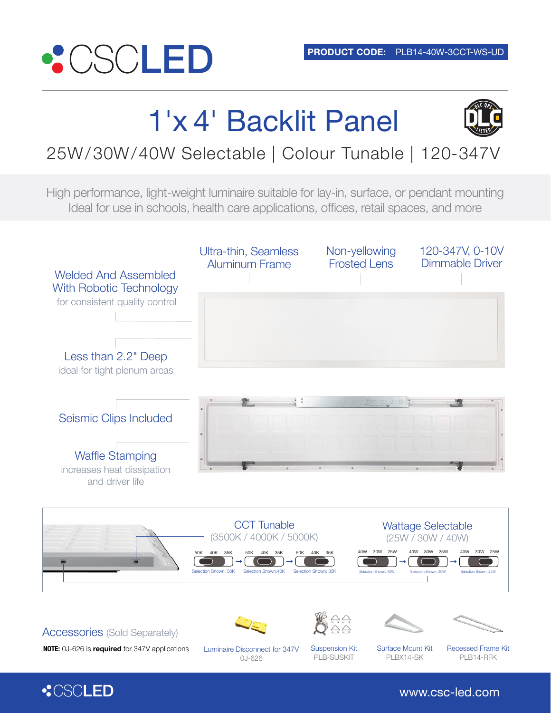

# 1'x 4' Backlit Panel



## 25W/30W/40W Selectable | Colour Tunable | 120-347V

High performance, light-weight luminaire suitable for lay-in, surface, or pendant mounting Ideal for use in schools, health care applications, offices, retail spaces, and more



www.csc-led.com